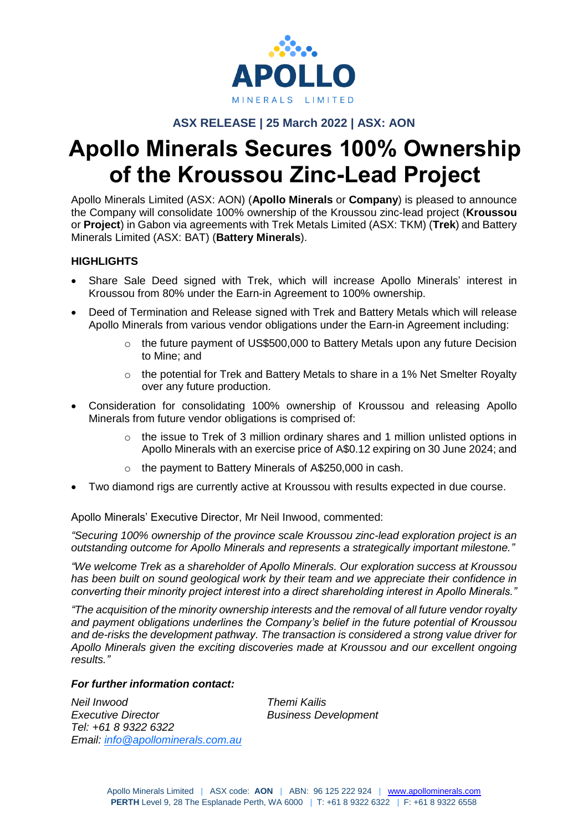

## **ASX RELEASE | 25 March 2022 | ASX: AON**

# **Apollo Minerals Secures 100% Ownership of the Kroussou Zinc-Lead Project**

Apollo Minerals Limited (ASX: AON) (**Apollo Minerals** or **Company**) is pleased to announce the Company will consolidate 100% ownership of the Kroussou zinc-lead project (**Kroussou** or **Project**) in Gabon via agreements with Trek Metals Limited (ASX: TKM) (**Trek**) and Battery Minerals Limited (ASX: BAT) (**Battery Minerals**).

## **HIGHLIGHTS**

- Share Sale Deed signed with Trek, which will increase Apollo Minerals' interest in Kroussou from 80% under the Earn-in Agreement to 100% ownership.
- Deed of Termination and Release signed with Trek and Battery Metals which will release Apollo Minerals from various vendor obligations under the Earn-in Agreement including:
	- $\circ$  the future payment of US\$500,000 to Battery Metals upon any future Decision to Mine; and
	- $\circ$  the potential for Trek and Battery Metals to share in a 1% Net Smelter Royalty over any future production.
- Consideration for consolidating 100% ownership of Kroussou and releasing Apollo Minerals from future vendor obligations is comprised of:
	- o the issue to Trek of 3 million ordinary shares and 1 million unlisted options in Apollo Minerals with an exercise price of A\$0.12 expiring on 30 June 2024; and
	- o the payment to Battery Minerals of A\$250,000 in cash.
- Two diamond rigs are currently active at Kroussou with results expected in due course.

Apollo Minerals' Executive Director, Mr Neil Inwood, commented:

*"Securing 100% ownership of the province scale Kroussou zinc-lead exploration project is an outstanding outcome for Apollo Minerals and represents a strategically important milestone."* 

*"We welcome Trek as a shareholder of Apollo Minerals. Our exploration success at Kroussou has been built on sound geological work by their team and we appreciate their confidence in converting their minority project interest into a direct shareholding interest in Apollo Minerals."*

*"The acquisition of the minority ownership interests and the removal of all future vendor royalty and payment obligations underlines the Company's belief in the future potential of Kroussou and de-risks the development pathway. The transaction is considered a strong value driver for Apollo Minerals given the exciting discoveries made at Kroussou and our excellent ongoing results."*

#### *For further information contact:*

*Neil Inwood Themi Kailis Executive Director Business Development Tel: +61 8 9322 6322 Email: [info@apollominerals.com.au](mailto:info@apollominerals.com.au)*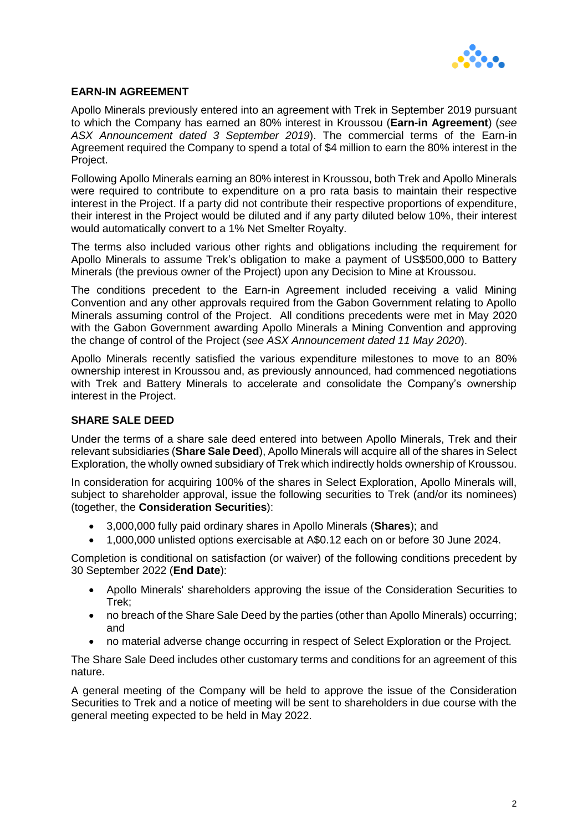

## **EARN-IN AGREEMENT**

Apollo Minerals previously entered into an agreement with Trek in September 2019 pursuant to which the Company has earned an 80% interest in Kroussou (**Earn-in Agreement**) (*see ASX Announcement dated 3 September 2019*). The commercial terms of the Earn-in Agreement required the Company to spend a total of \$4 million to earn the 80% interest in the Project.

Following Apollo Minerals earning an 80% interest in Kroussou, both Trek and Apollo Minerals were required to contribute to expenditure on a pro rata basis to maintain their respective interest in the Project. If a party did not contribute their respective proportions of expenditure, their interest in the Project would be diluted and if any party diluted below 10%, their interest would automatically convert to a 1% Net Smelter Royalty.

The terms also included various other rights and obligations including the requirement for Apollo Minerals to assume Trek's obligation to make a payment of US\$500,000 to Battery Minerals (the previous owner of the Project) upon any Decision to Mine at Kroussou.

The conditions precedent to the Earn-in Agreement included receiving a valid Mining Convention and any other approvals required from the Gabon Government relating to Apollo Minerals assuming control of the Project. All conditions precedents were met in May 2020 with the Gabon Government awarding Apollo Minerals a Mining Convention and approving the change of control of the Project (*see ASX Announcement dated 11 May 2020*).

Apollo Minerals recently satisfied the various expenditure milestones to move to an 80% ownership interest in Kroussou and, as previously announced, had commenced negotiations with Trek and Battery Minerals to accelerate and consolidate the Company's ownership interest in the Project.

#### **SHARE SALE DEED**

Under the terms of a share sale deed entered into between Apollo Minerals, Trek and their relevant subsidiaries (**Share Sale Deed**), Apollo Minerals will acquire all of the shares in Select Exploration, the wholly owned subsidiary of Trek which indirectly holds ownership of Kroussou.

In consideration for acquiring 100% of the shares in Select Exploration, Apollo Minerals will, subject to shareholder approval, issue the following securities to Trek (and/or its nominees) (together, the **Consideration Securities**):

- 3,000,000 fully paid ordinary shares in Apollo Minerals (**Shares**); and
- 1,000,000 unlisted options exercisable at A\$0.12 each on or before 30 June 2024.

Completion is conditional on satisfaction (or waiver) of the following conditions precedent by 30 September 2022 (**End Date**):

- Apollo Minerals' shareholders approving the issue of the Consideration Securities to Trek;
- no breach of the Share Sale Deed by the parties (other than Apollo Minerals) occurring; and
- no material adverse change occurring in respect of Select Exploration or the Project.

The Share Sale Deed includes other customary terms and conditions for an agreement of this nature.

A general meeting of the Company will be held to approve the issue of the Consideration Securities to Trek and a notice of meeting will be sent to shareholders in due course with the general meeting expected to be held in May 2022.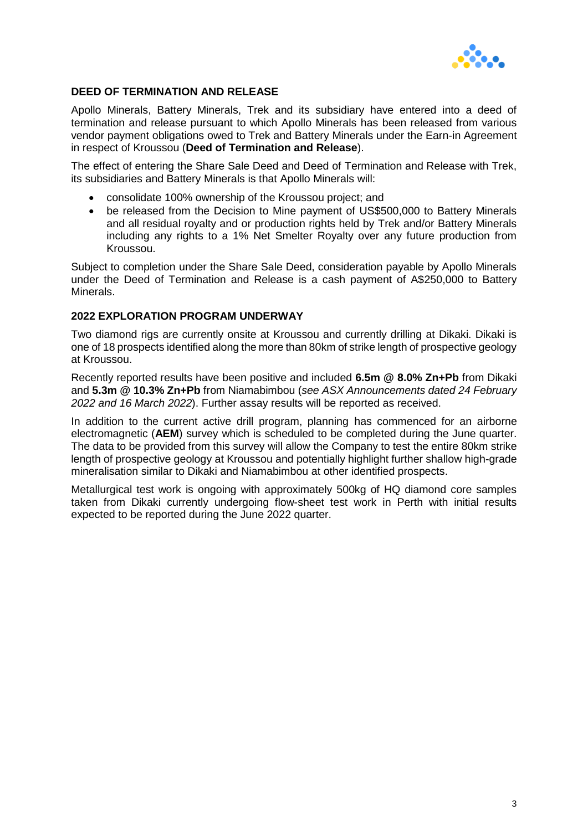

#### **DEED OF TERMINATION AND RELEASE**

Apollo Minerals, Battery Minerals, Trek and its subsidiary have entered into a deed of termination and release pursuant to which Apollo Minerals has been released from various vendor payment obligations owed to Trek and Battery Minerals under the Earn-in Agreement in respect of Kroussou (**Deed of Termination and Release**).

The effect of entering the Share Sale Deed and Deed of Termination and Release with Trek, its subsidiaries and Battery Minerals is that Apollo Minerals will:

- consolidate 100% ownership of the Kroussou project; and
- be released from the Decision to Mine payment of US\$500,000 to Battery Minerals and all residual royalty and or production rights held by Trek and/or Battery Minerals including any rights to a 1% Net Smelter Royalty over any future production from Kroussou.

Subject to completion under the Share Sale Deed, consideration payable by Apollo Minerals under the Deed of Termination and Release is a cash payment of A\$250,000 to Battery **Minerals** 

#### **2022 EXPLORATION PROGRAM UNDERWAY**

Two diamond rigs are currently onsite at Kroussou and currently drilling at Dikaki. Dikaki is one of 18 prospects identified along the more than 80km of strike length of prospective geology at Kroussou.

Recently reported results have been positive and included **6.5m @ 8.0% Zn+Pb** from Dikaki and **5.3m @ 10.3% Zn+Pb** from Niamabimbou (*see ASX Announcements dated 24 February 2022 and 16 March 2022*). Further assay results will be reported as received.

In addition to the current active drill program, planning has commenced for an airborne electromagnetic (**AEM**) survey which is scheduled to be completed during the June quarter. The data to be provided from this survey will allow the Company to test the entire 80km strike length of prospective geology at Kroussou and potentially highlight further shallow high-grade mineralisation similar to Dikaki and Niamabimbou at other identified prospects.

Metallurgical test work is ongoing with approximately 500kg of HQ diamond core samples taken from Dikaki currently undergoing flow-sheet test work in Perth with initial results expected to be reported during the June 2022 quarter.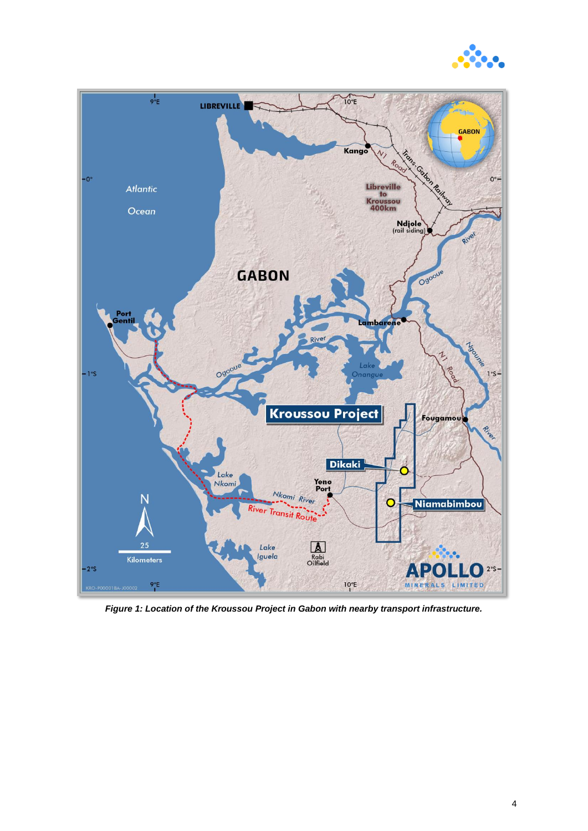



*Figure 1: Location of the Kroussou Project in Gabon with nearby transport infrastructure.*